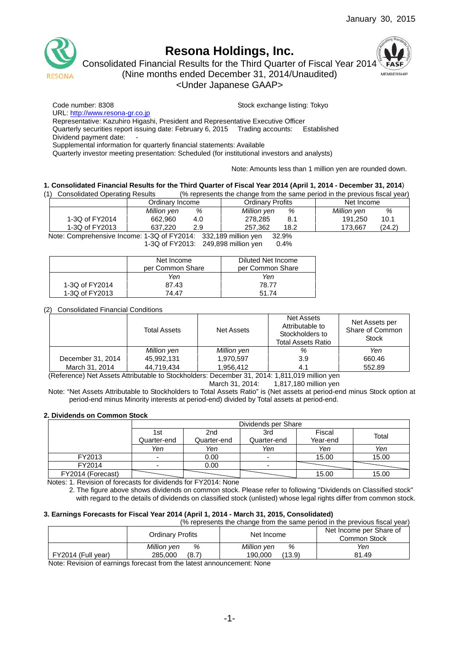

# **Resona Holdings, Inc.**

Consolidated Financial Results for the Third Quarter of Fiscal Year 2014



(Nine months ended December 31, 2014/Unaudited)

<Under Japanese GAAP>

Code number: 8308 Stock exchange listing: Tokyo

URL: http://www.resona-gr.co.jp

Representative: Kazuhiro Higashi, President and Representative Executive Officer

Quarterly securities report issuing date: February 6, 2015 Trading accounts: Established

Dividend payment date:

Supplemental information for quarterly financial statements: Available

Quarterly investor meeting presentation: Scheduled (for institutional investors and analysts)

Note: Amounts less than 1 million yen are rounded down.

### **1. Consolidated Financial Results for the Third Quarter of Fiscal Year 2014 (April 1, 2014 - December 31, 2014**)

(1) Consolidated Operating Results (% represents the change from the same period in the previous fiscal year)

|                | Ordinarv Income | Ordinarv Profits | Net Income  |  |
|----------------|-----------------|------------------|-------------|--|
|                | %               | %                | Million yen |  |
|                | Million yen     | Million yen      | %           |  |
| 1-3Q of FY2014 | 662,960         | 278.285          | 191.250     |  |
|                | 4.0             | 8.1              | 10.1        |  |
| 1-3Q of FY2013 | 637.220         | 257.362          | (24.2)      |  |
|                | 2.9             | 18.2             | 173.667     |  |

Note: Comprehensive Income: 1-3Q of FY2014: 332,189 million yen 32.9% 1-3Q of FY2013: 249,898 million yen 0.4%

|                | Net Income       | Diluted Net Income |
|----------------|------------------|--------------------|
|                | per Common Share | per Common Share   |
|                | Yen              | Yen                |
| 1-3Q of FY2014 | 87.43            | 78.77              |
| 1-3Q of FY2013 | 74 47            | 51 74              |

### (2) Consolidated Financial Conditions

|                   | <b>Total Assets</b> | Net Assets  | Net Assets<br>Attributable to<br>Stockholders to<br>Total Assets Ratio | Net Assets per<br>Share of Common<br>Stock |  |
|-------------------|---------------------|-------------|------------------------------------------------------------------------|--------------------------------------------|--|
|                   | Million yen         | Million yen | %                                                                      | Yen                                        |  |
| December 31, 2014 | 45,992,131          | 1,970,597   | 3.9                                                                    | 660.46                                     |  |
| March 31, 2014    | 44,719,434          | 1,956,412   | 4.1                                                                    | 552.89                                     |  |

(Reference) Net Assets Attributable to Stockholders: December 31, 2014: 1,811,019 million yen

March 31, 2014: 1,817,180 million yen

Note: "Net Assets Attributable to Stockholders to Total Assets Ratio" is (Net assets at period-end minus Stock option at period-end minus Minority interests at period-end) divided by Total assets at period-end.

### **2. Dividends on Common Stock**

|                   |             | Dividends per Share              |             |          |       |  |  |  |  |
|-------------------|-------------|----------------------------------|-------------|----------|-------|--|--|--|--|
|                   | 1st         | Fiscal<br>3rd<br>2 <sub>nd</sub> |             |          |       |  |  |  |  |
|                   | Quarter-end | Quarter-end                      | Quarter-end | Year-end | Total |  |  |  |  |
|                   | Yen         | Yen<br>Yen<br>Yen<br>Yen         |             |          |       |  |  |  |  |
| FY2013            |             | 15.00<br>0.00<br>15.00           |             |          |       |  |  |  |  |
| FY2014            |             | 0.00<br>$\overline{\phantom{0}}$ |             |          |       |  |  |  |  |
| FY2014 (Forecast) |             | 15.00<br>15.00                   |             |          |       |  |  |  |  |

Notes: 1. Revision of forecasts for dividends for FY2014: None

2. The figure above shows dividends on common stock. Please refer to following "Dividends on Classified stock" with regard to the details of dividends on classified stock (unlisted) whose legal rights differ from common stock.

### **3. Earnings Forecasts for Fiscal Year 2014 (April 1, 2014 - March 31, 2015, Consolidated)**

(% represents the change from the same period in the previous fiscal year)

|                    | Ordinarv Profits | Net Income        | Net Income per Share of<br>Common Stock |
|--------------------|------------------|-------------------|-----------------------------------------|
|                    | Million yen<br>% | Million yen<br>%  | Yen                                     |
| FY2014 (Full year) | 285.000<br>(8.7) | (13.9)<br>190.000 | 81.49                                   |

Note: Revision of earnings forecast from the latest announcement: None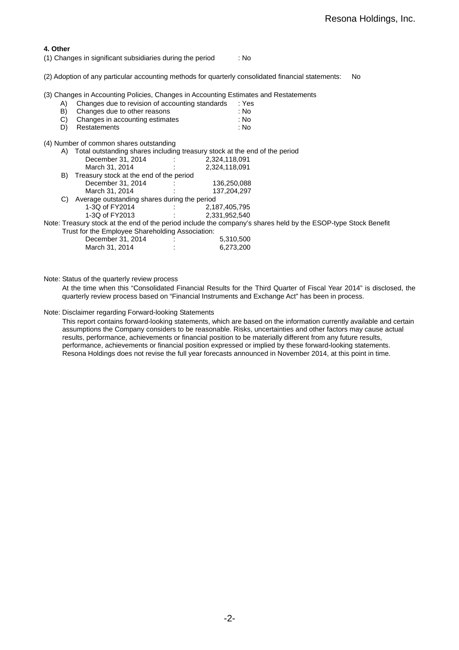### **4. Other**

(1) Changes in significant subsidiaries during the period : No

(2) Adoption of any particular accounting methods for quarterly consolidated financial statements: No

(3) Changes in Accounting Policies, Changes in Accounting Estimates and Restatements

| A) |  | Changes due to revision of accounting standards | : Yes |
|----|--|-------------------------------------------------|-------|
|    |  |                                                 |       |

| B) | Changes due to other reasons    | : No |
|----|---------------------------------|------|
| C) | Changes in accounting estimates | : No |

D) Restatements : No

(4) Number of common shares outstanding

| A) | Total outstanding shares including treasury stock at the end of the period |               |                                                                                                                |
|----|----------------------------------------------------------------------------|---------------|----------------------------------------------------------------------------------------------------------------|
|    | December 31, 2014                                                          | 2,324,118,091 |                                                                                                                |
|    | March 31, 2014                                                             | 2,324,118,091 |                                                                                                                |
| B) | Treasury stock at the end of the period                                    |               |                                                                                                                |
|    | December 31, 2014                                                          | 136,250,088   |                                                                                                                |
|    | March 31, 2014                                                             | 137.204.297   |                                                                                                                |
| C) | Average outstanding shares during the period                               |               |                                                                                                                |
|    | 1-3Q of FY2014                                                             | 2,187,405,795 |                                                                                                                |
|    | 1-3Q of FY2013                                                             | 2.331.952.540 |                                                                                                                |
|    |                                                                            |               | Note: Treasury stock at the end of the period include the company's shares held by the ESOP-type Stock Benefit |
|    | Trust for the Employee Shareholding Association:                           |               |                                                                                                                |
|    | December 31, 2014                                                          | 5,310,500     |                                                                                                                |
|    | March 31, 2014                                                             | 6,273,200     |                                                                                                                |
|    |                                                                            |               |                                                                                                                |

Note: Status of the quarterly review process

At the time when this "Consolidated Financial Results for the Third Quarter of Fiscal Year 2014" is disclosed, the quarterly review process based on "Financial Instruments and Exchange Act" has been in process.

Note: Disclaimer regarding Forward-looking Statements

This report contains forward-looking statements, which are based on the information currently available and certain assumptions the Company considers to be reasonable. Risks, uncertainties and other factors may cause actual results, performance, achievements or financial position to be materially different from any future results, performance, achievements or financial position expressed or implied by these forward-looking statements. Resona Holdings does not revise the full year forecasts announced in November 2014, at this point in time.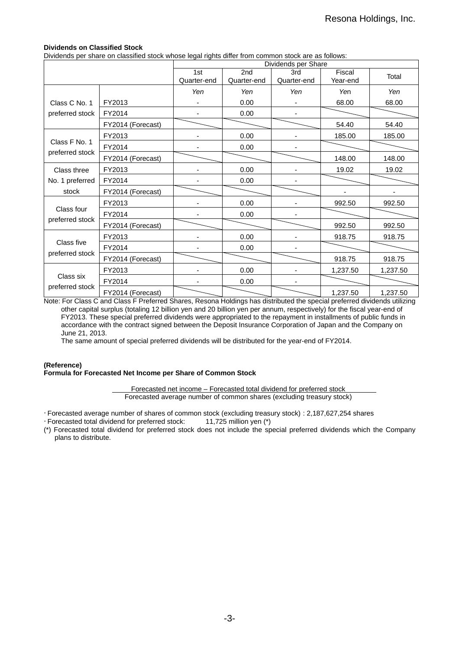### **Dividends on Classified Stock**

Dividends per share on classified stock whose legal rights differ from common stock are as follows:

|                 |                   | Dividends per Share |             |             |          |          |  |
|-----------------|-------------------|---------------------|-------------|-------------|----------|----------|--|
|                 |                   | 1st                 | 2nd         | 3rd         | Fiscal   | Total    |  |
|                 |                   | Quarter-end         | Quarter-end | Quarter-end | Year-end |          |  |
|                 |                   | Yen                 | Yen         | Yen         | Yen      | Yen      |  |
| Class C No. 1   | FY2013            |                     | 0.00        |             | 68.00    | 68.00    |  |
| preferred stock | FY2014            |                     | 0.00        |             |          |          |  |
|                 | FY2014 (Forecast) |                     |             |             | 54.40    | 54.40    |  |
|                 | FY2013            |                     | 0.00        |             | 185.00   | 185.00   |  |
| Class F No. 1   | FY2014            |                     | 0.00        |             |          |          |  |
| preferred stock | FY2014 (Forecast) |                     |             |             | 148.00   | 148.00   |  |
| Class three     | FY2013            |                     | 0.00        |             | 19.02    | 19.02    |  |
| No. 1 preferred | FY2014            |                     | 0.00        |             |          |          |  |
| stock           | FY2014 (Forecast) |                     |             |             |          |          |  |
|                 | FY2013            |                     | 0.00        |             | 992.50   | 992.50   |  |
| Class four      | FY2014            |                     | 0.00        |             |          |          |  |
| preferred stock | FY2014 (Forecast) |                     |             |             | 992.50   | 992.50   |  |
|                 | FY2013            |                     | 0.00        |             | 918.75   | 918.75   |  |
| Class five      | FY2014            |                     | 0.00        |             |          |          |  |
| preferred stock | FY2014 (Forecast) |                     |             |             | 918.75   | 918.75   |  |
|                 | FY2013            |                     | 0.00        |             | 1,237.50 | 1,237.50 |  |
| Class six       | FY2014            |                     | 0.00        |             |          |          |  |
| preferred stock | FY2014 (Forecast) |                     |             |             | 1,237.50 | 1,237.50 |  |

Note: For Class C and Class F Preferred Shares, Resona Holdings has distributed the special preferred dividends utilizing other capital surplus (totaling 12 billion yen and 20 billion yen per annum, respectively) for the fiscal year-end of FY2013. These special preferred dividends were appropriated to the repayment in installments of public funds in accordance with the contract signed between the Deposit Insurance Corporation of Japan and the Company on June 21, 2013.

The same amount of special preferred dividends will be distributed for the year-end of FY2014.

### **(Reference) Formula for Forecasted Net Income per Share of Common Stock**

Forecasted net income – Forecasted total dividend for preferred stock Forecasted average number of common shares (excluding treasury stock)

- Forecasted average number of shares of common stock (excluding treasury stock) : 2,187,627,254 shares

- Forecasted total dividend for preferred stock: 11,725 million yen (\*)

(\*) Forecasted total dividend for preferred stock does not include the special preferred dividends which the Company plans to distribute.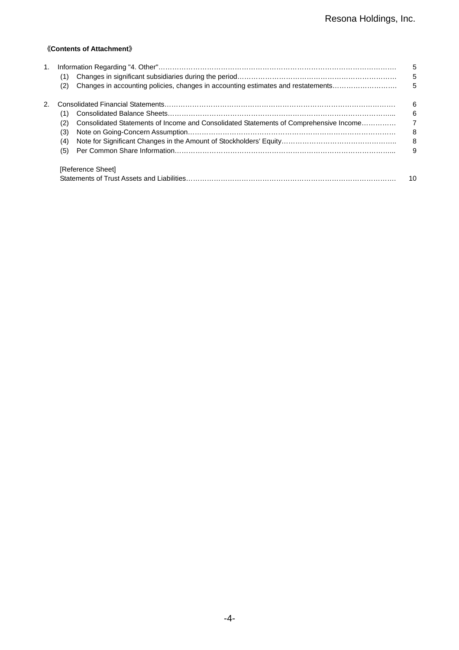## 《**Contents of Attachment**》

| 1. | (1)                                                                                          | 5<br>5         |
|----|----------------------------------------------------------------------------------------------|----------------|
|    | Changes in accounting policies, changes in accounting estimates and restatements<br>(2)      | 5              |
| 2. |                                                                                              | 6              |
|    | (1)                                                                                          | 6              |
|    | Consolidated Statements of Income and Consolidated Statements of Comprehensive Income<br>(2) | $\overline{7}$ |
|    | (3)                                                                                          | 8              |
|    | (4)                                                                                          | 8              |
|    | (5)                                                                                          | 9              |
|    | [Reference Sheet]                                                                            |                |
|    |                                                                                              | 10             |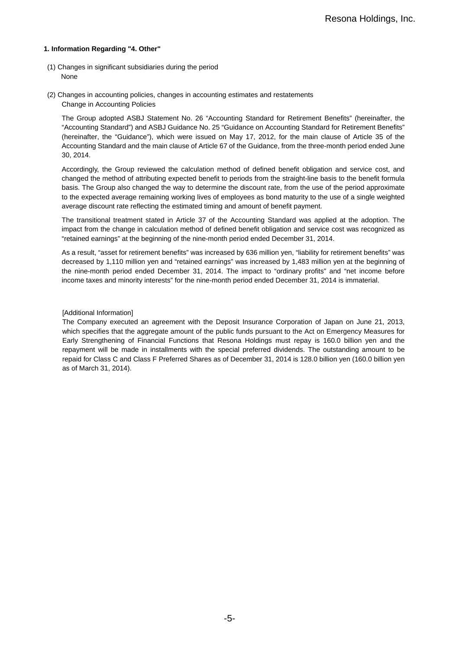### **1. Information Regarding "4. Other"**

- (1) Changes in significant subsidiaries during the period None
- (2) Changes in accounting policies, changes in accounting estimates and restatements Change in Accounting Policies

The Group adopted ASBJ Statement No. 26 "Accounting Standard for Retirement Benefits" (hereinafter, the "Accounting Standard") and ASBJ Guidance No. 25 "Guidance on Accounting Standard for Retirement Benefits" (hereinafter, the "Guidance"), which were issued on May 17, 2012, for the main clause of Article 35 of the Accounting Standard and the main clause of Article 67 of the Guidance, from the three-month period ended June 30, 2014.

Accordingly, the Group reviewed the calculation method of defined benefit obligation and service cost, and changed the method of attributing expected benefit to periods from the straight-line basis to the benefit formula basis. The Group also changed the way to determine the discount rate, from the use of the period approximate to the expected average remaining working lives of employees as bond maturity to the use of a single weighted average discount rate reflecting the estimated timing and amount of benefit payment.

The transitional treatment stated in Article 37 of the Accounting Standard was applied at the adoption. The impact from the change in calculation method of defined benefit obligation and service cost was recognized as "retained earnings" at the beginning of the nine-month period ended December 31, 2014.

As a result, "asset for retirement benefits" was increased by 636 million yen, "liability for retirement benefits" was decreased by 1,110 million yen and "retained earnings" was increased by 1,483 million yen at the beginning of the nine-month period ended December 31, 2014. The impact to "ordinary profits" and "net income before income taxes and minority interests" for the nine-month period ended December 31, 2014 is immaterial.

#### [Additional Information]

The Company executed an agreement with the Deposit Insurance Corporation of Japan on June 21, 2013, which specifies that the aggregate amount of the public funds pursuant to the Act on Emergency Measures for Early Strengthening of Financial Functions that Resona Holdings must repay is 160.0 billion yen and the repayment will be made in installments with the special preferred dividends. The outstanding amount to be repaid for Class C and Class F Preferred Shares as of December 31, 2014 is 128.0 billion yen (160.0 billion yen as of March 31, 2014).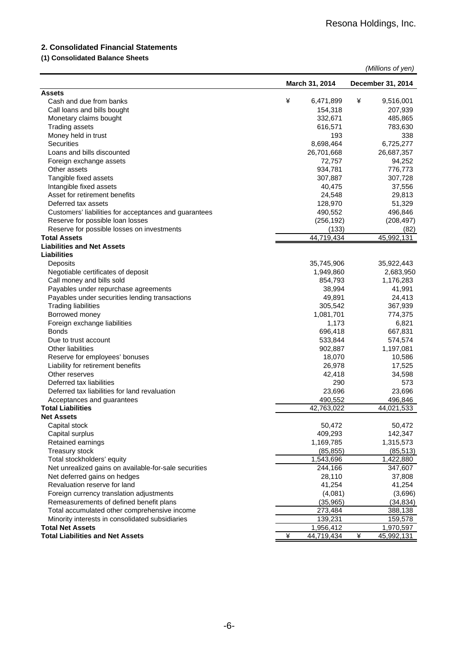## **2. Consolidated Financial Statements**

# **(1) Consolidated Balance Sheets**

| March 31, 2014<br>December 31, 2014<br><b>Assets</b><br>¥<br>6,471,899<br>9,516,001<br>Cash and due from banks<br>¥<br>Call loans and bills bought<br>154,318<br>207,939<br>Monetary claims bought<br>332,671<br>485,865<br><b>Trading assets</b><br>616,571<br>783,630<br>Money held in trust<br>193<br>338<br>6,725,277<br>Securities<br>8,698,464<br>Loans and bills discounted<br>26,701,668<br>26,687,357<br>72,757<br>94,252<br>Foreign exchange assets<br>Other assets<br>934,781<br>776,773<br>Tangible fixed assets<br>307,887<br>307,728<br>Intangible fixed assets<br>40,475<br>37,556<br>Asset for retirement benefits<br>24,548<br>29,813<br>Deferred tax assets<br>128,970<br>51,329<br>Customers' liabilities for acceptances and guarantees<br>490,552<br>496,846<br>Reserve for possible loan losses<br>(256, 192)<br>(208, 497)<br>(133)<br>Reserve for possible losses on investments<br>(82)<br>44,719,434<br>45,992,131<br><b>Total Assets</b><br><b>Liabilities and Net Assets</b><br>Liabilities<br>35,745,906<br>35,922,443<br>Deposits<br>Negotiable certificates of deposit<br>1,949,860<br>2,683,950<br>Call money and bills sold<br>854,793<br>1,176,283<br>Payables under repurchase agreements<br>41,991<br>38,994<br>Payables under securities lending transactions<br>49,891<br>24,413<br><b>Trading liabilities</b><br>305,542<br>367,939<br>Borrowed money<br>774,375<br>1,081,701<br>Foreign exchange liabilities<br>1,173<br>6,821<br><b>Bonds</b><br>696,418<br>667,831<br>533,844<br>Due to trust account<br>574,574<br><b>Other liabilities</b><br>902,887<br>1,197,081<br>Reserve for employees' bonuses<br>18,070<br>10,586<br>Liability for retirement benefits<br>26,978<br>17,525<br>Other reserves<br>42,418<br>34,598<br>290<br>Deferred tax liabilities<br>573<br>23,696<br>Deferred tax liabilities for land revaluation<br>23,696<br>490,552<br>496,846<br>Acceptances and guarantees<br>42.763.022<br>44.021.533<br><b>Total Liabilities</b><br>Net Assets<br>Capital stock<br>50,472<br>50,472<br>Capital surplus<br>409,293<br>142,347<br>Retained earnings<br>1,169,785<br>1,315,573<br>Treasury stock<br>(85, 513)<br>(85, 855)<br>Total stockholders' equity<br>1,543,696<br>1,422,880<br>Net unrealized gains on available-for-sale securities<br>347,607<br>244,166<br>Net deferred gains on hedges<br>28,110<br>37,808<br>Revaluation reserve for land<br>41,254<br>41,254<br>Foreign currency translation adjustments<br>(4,081)<br>(3,696)<br>Remeasurements of defined benefit plans<br>(35, 965)<br>(34, 834)<br>Total accumulated other comprehensive income<br>273,484<br>388,138<br>Minority interests in consolidated subsidiaries<br>139,231<br>159,578<br>1,956,412<br><b>Total Net Assets</b><br>1,970,597<br><b>Total Liabilities and Net Assets</b><br>¥<br>44,719,434<br>¥<br>45,992,131 |  |  | (Millions of yen) |
|------------------------------------------------------------------------------------------------------------------------------------------------------------------------------------------------------------------------------------------------------------------------------------------------------------------------------------------------------------------------------------------------------------------------------------------------------------------------------------------------------------------------------------------------------------------------------------------------------------------------------------------------------------------------------------------------------------------------------------------------------------------------------------------------------------------------------------------------------------------------------------------------------------------------------------------------------------------------------------------------------------------------------------------------------------------------------------------------------------------------------------------------------------------------------------------------------------------------------------------------------------------------------------------------------------------------------------------------------------------------------------------------------------------------------------------------------------------------------------------------------------------------------------------------------------------------------------------------------------------------------------------------------------------------------------------------------------------------------------------------------------------------------------------------------------------------------------------------------------------------------------------------------------------------------------------------------------------------------------------------------------------------------------------------------------------------------------------------------------------------------------------------------------------------------------------------------------------------------------------------------------------------------------------------------------------------------------------------------------------------------------------------------------------------------------------------------------------------------------------------------------------------------------------------------------------------------------------------------------------------------------------------------------------------------------------------------------------------------------------------------------------------------------------------------------------------------------------------------------------|--|--|-------------------|
|                                                                                                                                                                                                                                                                                                                                                                                                                                                                                                                                                                                                                                                                                                                                                                                                                                                                                                                                                                                                                                                                                                                                                                                                                                                                                                                                                                                                                                                                                                                                                                                                                                                                                                                                                                                                                                                                                                                                                                                                                                                                                                                                                                                                                                                                                                                                                                                                                                                                                                                                                                                                                                                                                                                                                                                                                                                                  |  |  |                   |
|                                                                                                                                                                                                                                                                                                                                                                                                                                                                                                                                                                                                                                                                                                                                                                                                                                                                                                                                                                                                                                                                                                                                                                                                                                                                                                                                                                                                                                                                                                                                                                                                                                                                                                                                                                                                                                                                                                                                                                                                                                                                                                                                                                                                                                                                                                                                                                                                                                                                                                                                                                                                                                                                                                                                                                                                                                                                  |  |  |                   |
|                                                                                                                                                                                                                                                                                                                                                                                                                                                                                                                                                                                                                                                                                                                                                                                                                                                                                                                                                                                                                                                                                                                                                                                                                                                                                                                                                                                                                                                                                                                                                                                                                                                                                                                                                                                                                                                                                                                                                                                                                                                                                                                                                                                                                                                                                                                                                                                                                                                                                                                                                                                                                                                                                                                                                                                                                                                                  |  |  |                   |
|                                                                                                                                                                                                                                                                                                                                                                                                                                                                                                                                                                                                                                                                                                                                                                                                                                                                                                                                                                                                                                                                                                                                                                                                                                                                                                                                                                                                                                                                                                                                                                                                                                                                                                                                                                                                                                                                                                                                                                                                                                                                                                                                                                                                                                                                                                                                                                                                                                                                                                                                                                                                                                                                                                                                                                                                                                                                  |  |  |                   |
|                                                                                                                                                                                                                                                                                                                                                                                                                                                                                                                                                                                                                                                                                                                                                                                                                                                                                                                                                                                                                                                                                                                                                                                                                                                                                                                                                                                                                                                                                                                                                                                                                                                                                                                                                                                                                                                                                                                                                                                                                                                                                                                                                                                                                                                                                                                                                                                                                                                                                                                                                                                                                                                                                                                                                                                                                                                                  |  |  |                   |
|                                                                                                                                                                                                                                                                                                                                                                                                                                                                                                                                                                                                                                                                                                                                                                                                                                                                                                                                                                                                                                                                                                                                                                                                                                                                                                                                                                                                                                                                                                                                                                                                                                                                                                                                                                                                                                                                                                                                                                                                                                                                                                                                                                                                                                                                                                                                                                                                                                                                                                                                                                                                                                                                                                                                                                                                                                                                  |  |  |                   |
|                                                                                                                                                                                                                                                                                                                                                                                                                                                                                                                                                                                                                                                                                                                                                                                                                                                                                                                                                                                                                                                                                                                                                                                                                                                                                                                                                                                                                                                                                                                                                                                                                                                                                                                                                                                                                                                                                                                                                                                                                                                                                                                                                                                                                                                                                                                                                                                                                                                                                                                                                                                                                                                                                                                                                                                                                                                                  |  |  |                   |
|                                                                                                                                                                                                                                                                                                                                                                                                                                                                                                                                                                                                                                                                                                                                                                                                                                                                                                                                                                                                                                                                                                                                                                                                                                                                                                                                                                                                                                                                                                                                                                                                                                                                                                                                                                                                                                                                                                                                                                                                                                                                                                                                                                                                                                                                                                                                                                                                                                                                                                                                                                                                                                                                                                                                                                                                                                                                  |  |  |                   |
|                                                                                                                                                                                                                                                                                                                                                                                                                                                                                                                                                                                                                                                                                                                                                                                                                                                                                                                                                                                                                                                                                                                                                                                                                                                                                                                                                                                                                                                                                                                                                                                                                                                                                                                                                                                                                                                                                                                                                                                                                                                                                                                                                                                                                                                                                                                                                                                                                                                                                                                                                                                                                                                                                                                                                                                                                                                                  |  |  |                   |
|                                                                                                                                                                                                                                                                                                                                                                                                                                                                                                                                                                                                                                                                                                                                                                                                                                                                                                                                                                                                                                                                                                                                                                                                                                                                                                                                                                                                                                                                                                                                                                                                                                                                                                                                                                                                                                                                                                                                                                                                                                                                                                                                                                                                                                                                                                                                                                                                                                                                                                                                                                                                                                                                                                                                                                                                                                                                  |  |  |                   |
|                                                                                                                                                                                                                                                                                                                                                                                                                                                                                                                                                                                                                                                                                                                                                                                                                                                                                                                                                                                                                                                                                                                                                                                                                                                                                                                                                                                                                                                                                                                                                                                                                                                                                                                                                                                                                                                                                                                                                                                                                                                                                                                                                                                                                                                                                                                                                                                                                                                                                                                                                                                                                                                                                                                                                                                                                                                                  |  |  |                   |
|                                                                                                                                                                                                                                                                                                                                                                                                                                                                                                                                                                                                                                                                                                                                                                                                                                                                                                                                                                                                                                                                                                                                                                                                                                                                                                                                                                                                                                                                                                                                                                                                                                                                                                                                                                                                                                                                                                                                                                                                                                                                                                                                                                                                                                                                                                                                                                                                                                                                                                                                                                                                                                                                                                                                                                                                                                                                  |  |  |                   |
|                                                                                                                                                                                                                                                                                                                                                                                                                                                                                                                                                                                                                                                                                                                                                                                                                                                                                                                                                                                                                                                                                                                                                                                                                                                                                                                                                                                                                                                                                                                                                                                                                                                                                                                                                                                                                                                                                                                                                                                                                                                                                                                                                                                                                                                                                                                                                                                                                                                                                                                                                                                                                                                                                                                                                                                                                                                                  |  |  |                   |
|                                                                                                                                                                                                                                                                                                                                                                                                                                                                                                                                                                                                                                                                                                                                                                                                                                                                                                                                                                                                                                                                                                                                                                                                                                                                                                                                                                                                                                                                                                                                                                                                                                                                                                                                                                                                                                                                                                                                                                                                                                                                                                                                                                                                                                                                                                                                                                                                                                                                                                                                                                                                                                                                                                                                                                                                                                                                  |  |  |                   |
|                                                                                                                                                                                                                                                                                                                                                                                                                                                                                                                                                                                                                                                                                                                                                                                                                                                                                                                                                                                                                                                                                                                                                                                                                                                                                                                                                                                                                                                                                                                                                                                                                                                                                                                                                                                                                                                                                                                                                                                                                                                                                                                                                                                                                                                                                                                                                                                                                                                                                                                                                                                                                                                                                                                                                                                                                                                                  |  |  |                   |
|                                                                                                                                                                                                                                                                                                                                                                                                                                                                                                                                                                                                                                                                                                                                                                                                                                                                                                                                                                                                                                                                                                                                                                                                                                                                                                                                                                                                                                                                                                                                                                                                                                                                                                                                                                                                                                                                                                                                                                                                                                                                                                                                                                                                                                                                                                                                                                                                                                                                                                                                                                                                                                                                                                                                                                                                                                                                  |  |  |                   |
|                                                                                                                                                                                                                                                                                                                                                                                                                                                                                                                                                                                                                                                                                                                                                                                                                                                                                                                                                                                                                                                                                                                                                                                                                                                                                                                                                                                                                                                                                                                                                                                                                                                                                                                                                                                                                                                                                                                                                                                                                                                                                                                                                                                                                                                                                                                                                                                                                                                                                                                                                                                                                                                                                                                                                                                                                                                                  |  |  |                   |
|                                                                                                                                                                                                                                                                                                                                                                                                                                                                                                                                                                                                                                                                                                                                                                                                                                                                                                                                                                                                                                                                                                                                                                                                                                                                                                                                                                                                                                                                                                                                                                                                                                                                                                                                                                                                                                                                                                                                                                                                                                                                                                                                                                                                                                                                                                                                                                                                                                                                                                                                                                                                                                                                                                                                                                                                                                                                  |  |  |                   |
|                                                                                                                                                                                                                                                                                                                                                                                                                                                                                                                                                                                                                                                                                                                                                                                                                                                                                                                                                                                                                                                                                                                                                                                                                                                                                                                                                                                                                                                                                                                                                                                                                                                                                                                                                                                                                                                                                                                                                                                                                                                                                                                                                                                                                                                                                                                                                                                                                                                                                                                                                                                                                                                                                                                                                                                                                                                                  |  |  |                   |
|                                                                                                                                                                                                                                                                                                                                                                                                                                                                                                                                                                                                                                                                                                                                                                                                                                                                                                                                                                                                                                                                                                                                                                                                                                                                                                                                                                                                                                                                                                                                                                                                                                                                                                                                                                                                                                                                                                                                                                                                                                                                                                                                                                                                                                                                                                                                                                                                                                                                                                                                                                                                                                                                                                                                                                                                                                                                  |  |  |                   |
|                                                                                                                                                                                                                                                                                                                                                                                                                                                                                                                                                                                                                                                                                                                                                                                                                                                                                                                                                                                                                                                                                                                                                                                                                                                                                                                                                                                                                                                                                                                                                                                                                                                                                                                                                                                                                                                                                                                                                                                                                                                                                                                                                                                                                                                                                                                                                                                                                                                                                                                                                                                                                                                                                                                                                                                                                                                                  |  |  |                   |
|                                                                                                                                                                                                                                                                                                                                                                                                                                                                                                                                                                                                                                                                                                                                                                                                                                                                                                                                                                                                                                                                                                                                                                                                                                                                                                                                                                                                                                                                                                                                                                                                                                                                                                                                                                                                                                                                                                                                                                                                                                                                                                                                                                                                                                                                                                                                                                                                                                                                                                                                                                                                                                                                                                                                                                                                                                                                  |  |  |                   |
|                                                                                                                                                                                                                                                                                                                                                                                                                                                                                                                                                                                                                                                                                                                                                                                                                                                                                                                                                                                                                                                                                                                                                                                                                                                                                                                                                                                                                                                                                                                                                                                                                                                                                                                                                                                                                                                                                                                                                                                                                                                                                                                                                                                                                                                                                                                                                                                                                                                                                                                                                                                                                                                                                                                                                                                                                                                                  |  |  |                   |
|                                                                                                                                                                                                                                                                                                                                                                                                                                                                                                                                                                                                                                                                                                                                                                                                                                                                                                                                                                                                                                                                                                                                                                                                                                                                                                                                                                                                                                                                                                                                                                                                                                                                                                                                                                                                                                                                                                                                                                                                                                                                                                                                                                                                                                                                                                                                                                                                                                                                                                                                                                                                                                                                                                                                                                                                                                                                  |  |  |                   |
|                                                                                                                                                                                                                                                                                                                                                                                                                                                                                                                                                                                                                                                                                                                                                                                                                                                                                                                                                                                                                                                                                                                                                                                                                                                                                                                                                                                                                                                                                                                                                                                                                                                                                                                                                                                                                                                                                                                                                                                                                                                                                                                                                                                                                                                                                                                                                                                                                                                                                                                                                                                                                                                                                                                                                                                                                                                                  |  |  |                   |
|                                                                                                                                                                                                                                                                                                                                                                                                                                                                                                                                                                                                                                                                                                                                                                                                                                                                                                                                                                                                                                                                                                                                                                                                                                                                                                                                                                                                                                                                                                                                                                                                                                                                                                                                                                                                                                                                                                                                                                                                                                                                                                                                                                                                                                                                                                                                                                                                                                                                                                                                                                                                                                                                                                                                                                                                                                                                  |  |  |                   |
|                                                                                                                                                                                                                                                                                                                                                                                                                                                                                                                                                                                                                                                                                                                                                                                                                                                                                                                                                                                                                                                                                                                                                                                                                                                                                                                                                                                                                                                                                                                                                                                                                                                                                                                                                                                                                                                                                                                                                                                                                                                                                                                                                                                                                                                                                                                                                                                                                                                                                                                                                                                                                                                                                                                                                                                                                                                                  |  |  |                   |
|                                                                                                                                                                                                                                                                                                                                                                                                                                                                                                                                                                                                                                                                                                                                                                                                                                                                                                                                                                                                                                                                                                                                                                                                                                                                                                                                                                                                                                                                                                                                                                                                                                                                                                                                                                                                                                                                                                                                                                                                                                                                                                                                                                                                                                                                                                                                                                                                                                                                                                                                                                                                                                                                                                                                                                                                                                                                  |  |  |                   |
|                                                                                                                                                                                                                                                                                                                                                                                                                                                                                                                                                                                                                                                                                                                                                                                                                                                                                                                                                                                                                                                                                                                                                                                                                                                                                                                                                                                                                                                                                                                                                                                                                                                                                                                                                                                                                                                                                                                                                                                                                                                                                                                                                                                                                                                                                                                                                                                                                                                                                                                                                                                                                                                                                                                                                                                                                                                                  |  |  |                   |
|                                                                                                                                                                                                                                                                                                                                                                                                                                                                                                                                                                                                                                                                                                                                                                                                                                                                                                                                                                                                                                                                                                                                                                                                                                                                                                                                                                                                                                                                                                                                                                                                                                                                                                                                                                                                                                                                                                                                                                                                                                                                                                                                                                                                                                                                                                                                                                                                                                                                                                                                                                                                                                                                                                                                                                                                                                                                  |  |  |                   |
|                                                                                                                                                                                                                                                                                                                                                                                                                                                                                                                                                                                                                                                                                                                                                                                                                                                                                                                                                                                                                                                                                                                                                                                                                                                                                                                                                                                                                                                                                                                                                                                                                                                                                                                                                                                                                                                                                                                                                                                                                                                                                                                                                                                                                                                                                                                                                                                                                                                                                                                                                                                                                                                                                                                                                                                                                                                                  |  |  |                   |
|                                                                                                                                                                                                                                                                                                                                                                                                                                                                                                                                                                                                                                                                                                                                                                                                                                                                                                                                                                                                                                                                                                                                                                                                                                                                                                                                                                                                                                                                                                                                                                                                                                                                                                                                                                                                                                                                                                                                                                                                                                                                                                                                                                                                                                                                                                                                                                                                                                                                                                                                                                                                                                                                                                                                                                                                                                                                  |  |  |                   |
|                                                                                                                                                                                                                                                                                                                                                                                                                                                                                                                                                                                                                                                                                                                                                                                                                                                                                                                                                                                                                                                                                                                                                                                                                                                                                                                                                                                                                                                                                                                                                                                                                                                                                                                                                                                                                                                                                                                                                                                                                                                                                                                                                                                                                                                                                                                                                                                                                                                                                                                                                                                                                                                                                                                                                                                                                                                                  |  |  |                   |
|                                                                                                                                                                                                                                                                                                                                                                                                                                                                                                                                                                                                                                                                                                                                                                                                                                                                                                                                                                                                                                                                                                                                                                                                                                                                                                                                                                                                                                                                                                                                                                                                                                                                                                                                                                                                                                                                                                                                                                                                                                                                                                                                                                                                                                                                                                                                                                                                                                                                                                                                                                                                                                                                                                                                                                                                                                                                  |  |  |                   |
|                                                                                                                                                                                                                                                                                                                                                                                                                                                                                                                                                                                                                                                                                                                                                                                                                                                                                                                                                                                                                                                                                                                                                                                                                                                                                                                                                                                                                                                                                                                                                                                                                                                                                                                                                                                                                                                                                                                                                                                                                                                                                                                                                                                                                                                                                                                                                                                                                                                                                                                                                                                                                                                                                                                                                                                                                                                                  |  |  |                   |
|                                                                                                                                                                                                                                                                                                                                                                                                                                                                                                                                                                                                                                                                                                                                                                                                                                                                                                                                                                                                                                                                                                                                                                                                                                                                                                                                                                                                                                                                                                                                                                                                                                                                                                                                                                                                                                                                                                                                                                                                                                                                                                                                                                                                                                                                                                                                                                                                                                                                                                                                                                                                                                                                                                                                                                                                                                                                  |  |  |                   |
|                                                                                                                                                                                                                                                                                                                                                                                                                                                                                                                                                                                                                                                                                                                                                                                                                                                                                                                                                                                                                                                                                                                                                                                                                                                                                                                                                                                                                                                                                                                                                                                                                                                                                                                                                                                                                                                                                                                                                                                                                                                                                                                                                                                                                                                                                                                                                                                                                                                                                                                                                                                                                                                                                                                                                                                                                                                                  |  |  |                   |
|                                                                                                                                                                                                                                                                                                                                                                                                                                                                                                                                                                                                                                                                                                                                                                                                                                                                                                                                                                                                                                                                                                                                                                                                                                                                                                                                                                                                                                                                                                                                                                                                                                                                                                                                                                                                                                                                                                                                                                                                                                                                                                                                                                                                                                                                                                                                                                                                                                                                                                                                                                                                                                                                                                                                                                                                                                                                  |  |  |                   |
|                                                                                                                                                                                                                                                                                                                                                                                                                                                                                                                                                                                                                                                                                                                                                                                                                                                                                                                                                                                                                                                                                                                                                                                                                                                                                                                                                                                                                                                                                                                                                                                                                                                                                                                                                                                                                                                                                                                                                                                                                                                                                                                                                                                                                                                                                                                                                                                                                                                                                                                                                                                                                                                                                                                                                                                                                                                                  |  |  |                   |
|                                                                                                                                                                                                                                                                                                                                                                                                                                                                                                                                                                                                                                                                                                                                                                                                                                                                                                                                                                                                                                                                                                                                                                                                                                                                                                                                                                                                                                                                                                                                                                                                                                                                                                                                                                                                                                                                                                                                                                                                                                                                                                                                                                                                                                                                                                                                                                                                                                                                                                                                                                                                                                                                                                                                                                                                                                                                  |  |  |                   |
|                                                                                                                                                                                                                                                                                                                                                                                                                                                                                                                                                                                                                                                                                                                                                                                                                                                                                                                                                                                                                                                                                                                                                                                                                                                                                                                                                                                                                                                                                                                                                                                                                                                                                                                                                                                                                                                                                                                                                                                                                                                                                                                                                                                                                                                                                                                                                                                                                                                                                                                                                                                                                                                                                                                                                                                                                                                                  |  |  |                   |
|                                                                                                                                                                                                                                                                                                                                                                                                                                                                                                                                                                                                                                                                                                                                                                                                                                                                                                                                                                                                                                                                                                                                                                                                                                                                                                                                                                                                                                                                                                                                                                                                                                                                                                                                                                                                                                                                                                                                                                                                                                                                                                                                                                                                                                                                                                                                                                                                                                                                                                                                                                                                                                                                                                                                                                                                                                                                  |  |  |                   |
|                                                                                                                                                                                                                                                                                                                                                                                                                                                                                                                                                                                                                                                                                                                                                                                                                                                                                                                                                                                                                                                                                                                                                                                                                                                                                                                                                                                                                                                                                                                                                                                                                                                                                                                                                                                                                                                                                                                                                                                                                                                                                                                                                                                                                                                                                                                                                                                                                                                                                                                                                                                                                                                                                                                                                                                                                                                                  |  |  |                   |
|                                                                                                                                                                                                                                                                                                                                                                                                                                                                                                                                                                                                                                                                                                                                                                                                                                                                                                                                                                                                                                                                                                                                                                                                                                                                                                                                                                                                                                                                                                                                                                                                                                                                                                                                                                                                                                                                                                                                                                                                                                                                                                                                                                                                                                                                                                                                                                                                                                                                                                                                                                                                                                                                                                                                                                                                                                                                  |  |  |                   |
|                                                                                                                                                                                                                                                                                                                                                                                                                                                                                                                                                                                                                                                                                                                                                                                                                                                                                                                                                                                                                                                                                                                                                                                                                                                                                                                                                                                                                                                                                                                                                                                                                                                                                                                                                                                                                                                                                                                                                                                                                                                                                                                                                                                                                                                                                                                                                                                                                                                                                                                                                                                                                                                                                                                                                                                                                                                                  |  |  |                   |
|                                                                                                                                                                                                                                                                                                                                                                                                                                                                                                                                                                                                                                                                                                                                                                                                                                                                                                                                                                                                                                                                                                                                                                                                                                                                                                                                                                                                                                                                                                                                                                                                                                                                                                                                                                                                                                                                                                                                                                                                                                                                                                                                                                                                                                                                                                                                                                                                                                                                                                                                                                                                                                                                                                                                                                                                                                                                  |  |  |                   |
|                                                                                                                                                                                                                                                                                                                                                                                                                                                                                                                                                                                                                                                                                                                                                                                                                                                                                                                                                                                                                                                                                                                                                                                                                                                                                                                                                                                                                                                                                                                                                                                                                                                                                                                                                                                                                                                                                                                                                                                                                                                                                                                                                                                                                                                                                                                                                                                                                                                                                                                                                                                                                                                                                                                                                                                                                                                                  |  |  |                   |
|                                                                                                                                                                                                                                                                                                                                                                                                                                                                                                                                                                                                                                                                                                                                                                                                                                                                                                                                                                                                                                                                                                                                                                                                                                                                                                                                                                                                                                                                                                                                                                                                                                                                                                                                                                                                                                                                                                                                                                                                                                                                                                                                                                                                                                                                                                                                                                                                                                                                                                                                                                                                                                                                                                                                                                                                                                                                  |  |  |                   |
|                                                                                                                                                                                                                                                                                                                                                                                                                                                                                                                                                                                                                                                                                                                                                                                                                                                                                                                                                                                                                                                                                                                                                                                                                                                                                                                                                                                                                                                                                                                                                                                                                                                                                                                                                                                                                                                                                                                                                                                                                                                                                                                                                                                                                                                                                                                                                                                                                                                                                                                                                                                                                                                                                                                                                                                                                                                                  |  |  |                   |
|                                                                                                                                                                                                                                                                                                                                                                                                                                                                                                                                                                                                                                                                                                                                                                                                                                                                                                                                                                                                                                                                                                                                                                                                                                                                                                                                                                                                                                                                                                                                                                                                                                                                                                                                                                                                                                                                                                                                                                                                                                                                                                                                                                                                                                                                                                                                                                                                                                                                                                                                                                                                                                                                                                                                                                                                                                                                  |  |  |                   |
|                                                                                                                                                                                                                                                                                                                                                                                                                                                                                                                                                                                                                                                                                                                                                                                                                                                                                                                                                                                                                                                                                                                                                                                                                                                                                                                                                                                                                                                                                                                                                                                                                                                                                                                                                                                                                                                                                                                                                                                                                                                                                                                                                                                                                                                                                                                                                                                                                                                                                                                                                                                                                                                                                                                                                                                                                                                                  |  |  |                   |
|                                                                                                                                                                                                                                                                                                                                                                                                                                                                                                                                                                                                                                                                                                                                                                                                                                                                                                                                                                                                                                                                                                                                                                                                                                                                                                                                                                                                                                                                                                                                                                                                                                                                                                                                                                                                                                                                                                                                                                                                                                                                                                                                                                                                                                                                                                                                                                                                                                                                                                                                                                                                                                                                                                                                                                                                                                                                  |  |  |                   |
|                                                                                                                                                                                                                                                                                                                                                                                                                                                                                                                                                                                                                                                                                                                                                                                                                                                                                                                                                                                                                                                                                                                                                                                                                                                                                                                                                                                                                                                                                                                                                                                                                                                                                                                                                                                                                                                                                                                                                                                                                                                                                                                                                                                                                                                                                                                                                                                                                                                                                                                                                                                                                                                                                                                                                                                                                                                                  |  |  |                   |
|                                                                                                                                                                                                                                                                                                                                                                                                                                                                                                                                                                                                                                                                                                                                                                                                                                                                                                                                                                                                                                                                                                                                                                                                                                                                                                                                                                                                                                                                                                                                                                                                                                                                                                                                                                                                                                                                                                                                                                                                                                                                                                                                                                                                                                                                                                                                                                                                                                                                                                                                                                                                                                                                                                                                                                                                                                                                  |  |  |                   |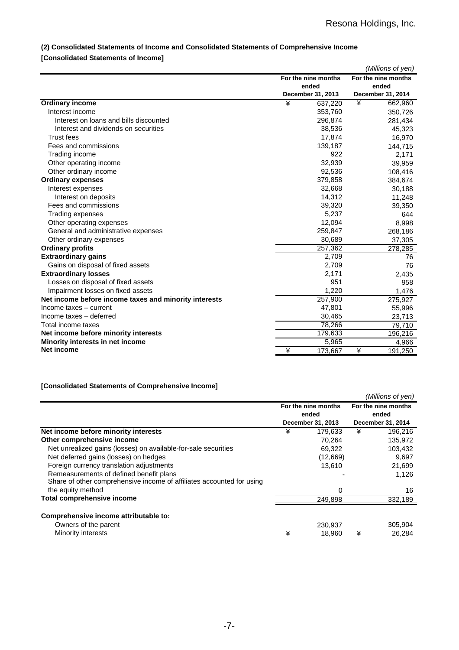# **(2) Consolidated Statements of Income and Consolidated Statements of Comprehensive Income**

# **[Consolidated Statements of Income]**

|                                                       |   |                     |   | (Millions of yen)   |
|-------------------------------------------------------|---|---------------------|---|---------------------|
|                                                       |   | For the nine months |   | For the nine months |
|                                                       |   | ended               |   | ended               |
|                                                       |   | December 31, 2013   |   | December 31, 2014   |
| <b>Ordinary income</b>                                | ¥ | 637,220             | ¥ | 662,960             |
| Interest income                                       |   | 353,760             |   | 350,726             |
| Interest on loans and bills discounted                |   | 296,874             |   | 281,434             |
| Interest and dividends on securities                  |   | 38,536              |   | 45,323              |
| <b>Trust fees</b>                                     |   | 17,874              |   | 16,970              |
| Fees and commissions                                  |   | 139,187             |   | 144,715             |
| Trading income                                        |   | 922                 |   | 2,171               |
| Other operating income                                |   | 32,939              |   | 39,959              |
| Other ordinary income                                 |   | 92,536              |   | 108,416             |
| <b>Ordinary expenses</b>                              |   | 379,858             |   | 384,674             |
| Interest expenses                                     |   | 32,668              |   | 30,188              |
| Interest on deposits                                  |   | 14,312              |   | 11,248              |
| Fees and commissions                                  |   | 39,320              |   | 39,350              |
| Trading expenses                                      |   | 5,237               |   | 644                 |
| Other operating expenses                              |   | 12,094              |   | 8,998               |
| General and administrative expenses                   |   | 259,847             |   | 268,186             |
| Other ordinary expenses                               |   | 30,689              |   | 37,305              |
| <b>Ordinary profits</b>                               |   | 257,362             |   | 278,285             |
| <b>Extraordinary gains</b>                            |   | 2,709               |   | 76                  |
| Gains on disposal of fixed assets                     |   | 2,709               |   | 76                  |
| <b>Extraordinary losses</b>                           |   | 2,171               |   | 2,435               |
| Losses on disposal of fixed assets                    |   | 951                 |   | 958                 |
| Impairment losses on fixed assets                     |   | 1,220               |   | 1,476               |
| Net income before income taxes and minority interests |   | 257,900             |   | 275,927             |
| Income taxes - current                                |   | 47,801              |   | 55,996              |
| Income taxes - deferred                               |   | 30,465              |   | 23,713              |
| Total income taxes                                    |   | 78,266              |   | 79,710              |
| Net income before minority interests                  |   | 179,633             |   | 196,216             |
| Minority interests in net income                      |   | 5,965               |   | 4,966               |
| Net income                                            | ¥ | 173,667             | ¥ | 191,250             |

### **[Consolidated Statements of Comprehensive Income]**

|                                                                       |                              |                   |                              | (Millions of yen) |  |
|-----------------------------------------------------------------------|------------------------------|-------------------|------------------------------|-------------------|--|
|                                                                       | For the nine months<br>ended |                   | For the nine months<br>ended |                   |  |
|                                                                       |                              | December 31, 2013 |                              | December 31, 2014 |  |
| Net income before minority interests                                  | ¥                            | 179.633           | ¥                            | 196,216           |  |
| Other comprehensive income                                            |                              | 70.264            |                              | 135,972           |  |
| Net unrealized gains (losses) on available-for-sale securities        |                              | 69,322            |                              | 103,432           |  |
| Net deferred gains (losses) on hedges                                 |                              | (12,669)          |                              | 9,697             |  |
| Foreign currency translation adjustments                              |                              | 13,610            |                              | 21,699            |  |
| Remeasurements of defined benefit plans                               |                              |                   |                              | 1,126             |  |
| Share of other comprehensive income of affiliates accounted for using |                              |                   |                              |                   |  |
| the equity method                                                     |                              | 0                 |                              | 16                |  |
| Total comprehensive income                                            |                              | 249.898           |                              | 332,189           |  |
| Comprehensive income attributable to:                                 |                              |                   |                              |                   |  |
| Owners of the parent                                                  |                              | 230.937           |                              | 305,904           |  |
| Minority interests                                                    | ¥                            | 18.960            | ¥                            | 26.284            |  |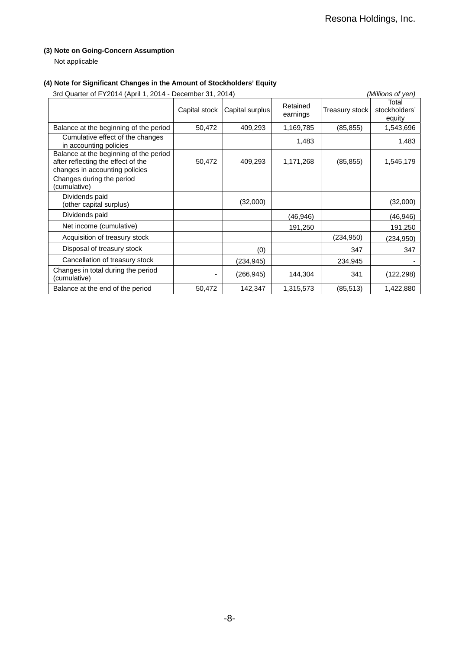## **(3) Note on Going-Concern Assumption**

Not applicable

## **(4) Note for Significant Changes in the Amount of Stockholders' Equity**

| 3rd Quarter of FY2014 (April 1, 2014 - December 31, 2014)                                                      |               |                 |                      | (Millions of yen) |                                  |
|----------------------------------------------------------------------------------------------------------------|---------------|-----------------|----------------------|-------------------|----------------------------------|
|                                                                                                                | Capital stock | Capital surplus | Retained<br>earnings | Treasury stock    | Total<br>stockholders'<br>equity |
| Balance at the beginning of the period                                                                         | 50,472        | 409,293         | 1,169,785            | (85, 855)         | 1,543,696                        |
| Cumulative effect of the changes<br>in accounting policies                                                     |               |                 | 1,483                |                   | 1,483                            |
| Balance at the beginning of the period<br>after reflecting the effect of the<br>changes in accounting policies | 50,472        | 409,293         | 1,171,268            | (85, 855)         | 1,545,179                        |
| Changes during the period<br>(cumulative)                                                                      |               |                 |                      |                   |                                  |
| Dividends paid<br>(other capital surplus)                                                                      |               | (32,000)        |                      |                   | (32,000)                         |
| Dividends paid                                                                                                 |               |                 | (46,946)             |                   | (46,946)                         |
| Net income (cumulative)                                                                                        |               |                 | 191,250              |                   | 191,250                          |
| Acquisition of treasury stock                                                                                  |               |                 |                      | (234, 950)        | (234,950)                        |
| Disposal of treasury stock                                                                                     |               | (0)             |                      | 347               | 347                              |
| Cancellation of treasury stock                                                                                 |               | (234, 945)      |                      | 234,945           |                                  |
| Changes in total during the period<br>(cumulative)                                                             |               | (266, 945)      | 144,304              | 341               | (122, 298)                       |
| Balance at the end of the period                                                                               | 50,472        | 142,347         | 1,315,573            | (85, 513)         | 1,422,880                        |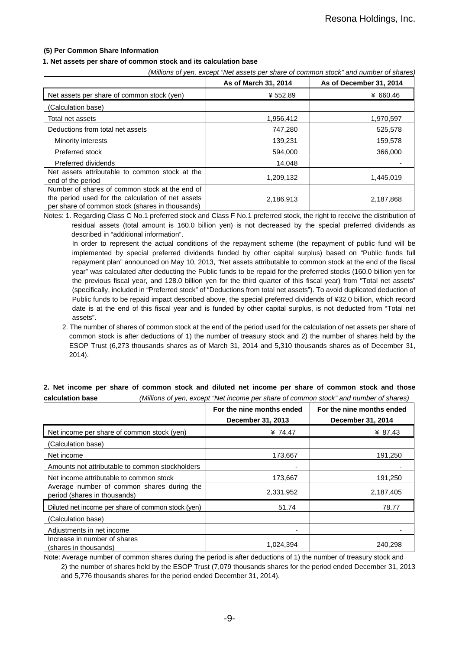### **(5) Per Common Share Information**

### **1. Net assets per share of common stock and its calculation base**

*(Millions of yen, except "Net assets per share of common stock" and number of shares)*

|                                                                                                                                                        | As of March 31, 2014 | As of December 31, 2014 |
|--------------------------------------------------------------------------------------------------------------------------------------------------------|----------------------|-------------------------|
| Net assets per share of common stock (yen)                                                                                                             | ¥552.89              | ¥ 660.46                |
| (Calculation base)                                                                                                                                     |                      |                         |
| Total net assets                                                                                                                                       | 1,956,412            | 1,970,597               |
| Deductions from total net assets                                                                                                                       | 747,280              | 525,578                 |
| Minority interests                                                                                                                                     | 139,231              | 159,578                 |
| Preferred stock                                                                                                                                        | 594,000              | 366,000                 |
| Preferred dividends                                                                                                                                    | 14,048               |                         |
| Net assets attributable to common stock at the<br>end of the period                                                                                    | 1,209,132            | 1,445,019               |
| Number of shares of common stock at the end of<br>the period used for the calculation of net assets<br>per share of common stock (shares in thousands) | 2,186,913            | 2,187,868               |

Notes: 1. Regarding Class C No.1 preferred stock and Class F No.1 preferred stock, the right to receive the distribution of residual assets (total amount is 160.0 billion yen) is not decreased by the special preferred dividends as described in "additional information".

In order to represent the actual conditions of the repayment scheme (the repayment of public fund will be implemented by special preferred dividends funded by other capital surplus) based on "Public funds full repayment plan" announced on May 10, 2013, "Net assets attributable to common stock at the end of the fiscal year" was calculated after deducting the Public funds to be repaid for the preferred stocks (160.0 billion yen for the previous fiscal year, and 128.0 billion yen for the third quarter of this fiscal year) from "Total net assets" (specifically, included in "Preferred stock" of "Deductions from total net assets"). To avoid duplicated deduction of Public funds to be repaid impact described above, the special preferred dividends of ¥32.0 billion, which record date is at the end of this fiscal year and is funded by other capital surplus, is not deducted from "Total net assets".

2. The number of shares of common stock at the end of the period used for the calculation of net assets per share of common stock is after deductions of 1) the number of treasury stock and 2) the number of shares held by the ESOP Trust (6,273 thousands shares as of March 31, 2014 and 5,310 thousands shares as of December 31, 2014).

| vaivaiativii pasv                                                          |                           |                           |  |  |  |
|----------------------------------------------------------------------------|---------------------------|---------------------------|--|--|--|
|                                                                            | For the nine months ended | For the nine months ended |  |  |  |
|                                                                            | December 31, 2013         | December 31, 2014         |  |  |  |
| Net income per share of common stock (yen)                                 | ¥ 74.47                   | ¥ 87.43                   |  |  |  |
| (Calculation base)                                                         |                           |                           |  |  |  |
| Net income                                                                 | 173,667                   | 191,250                   |  |  |  |
| Amounts not attributable to common stockholders                            |                           |                           |  |  |  |
| Net income attributable to common stock                                    | 173,667                   | 191,250                   |  |  |  |
| Average number of common shares during the<br>period (shares in thousands) | 2,331,952                 | 2,187,405                 |  |  |  |
| Diluted net income per share of common stock (yen)                         | 51.74                     | 78.77                     |  |  |  |
| (Calculation base)                                                         |                           |                           |  |  |  |
| Adjustments in net income                                                  |                           |                           |  |  |  |
| Increase in number of shares<br>(shares in thousands)                      | 1,024,394                 | 240,298                   |  |  |  |

### **2. Net income per share of common stock and diluted net income per share of common stock and those calculation base** *(Millions of yen, except "Net income per share of common stock" and number of shares)*

Note: Average number of common shares during the period is after deductions of 1) the number of treasury stock and 2) the number of shares held by the ESOP Trust (7,079 thousands shares for the period ended December 31, 2013 and 5,776 thousands shares for the period ended December 31, 2014).